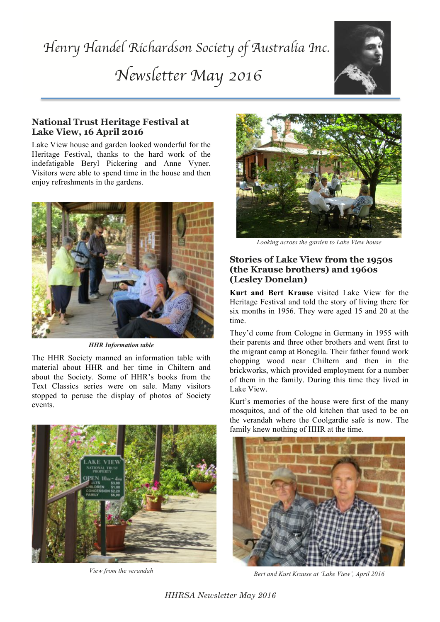# *Henry Handel Richardson Society of Australia Inc. Newsletter May 2016*



## **National Trust Heritage Festival at Lake View, 16 April 2016**

Lake View house and garden looked wonderful for the Heritage Festival, thanks to the hard work of the indefatigable Beryl Pickering and Anne Vyner. Visitors were able to spend time in the house and then enjoy refreshments in the gardens.



*HHR Information table*

The HHR Society manned an information table with material about HHR and her time in Chiltern and about the Society. Some of HHR's books from the Text Classics series were on sale. Many visitors stopped to peruse the display of photos of Society events.



*View from the verandah*



*Looking across the garden to Lake View house*

## **Stories of Lake View from the 1950s (the Krause brothers) and 1960s (Lesley Donelan)**

**Kurt and Bert Krause** visited Lake View for the Heritage Festival and told the story of living there for six months in 1956. They were aged 15 and 20 at the time.

They'd come from Cologne in Germany in 1955 with their parents and three other brothers and went first to the migrant camp at Bonegila. Their father found work chopping wood near Chiltern and then in the brickworks, which provided employment for a number of them in the family. During this time they lived in Lake View.

Kurt's memories of the house were first of the many mosquitos, and of the old kitchen that used to be on the verandah where the Coolgardie safe is now. The family knew nothing of HHR at the time.



*Bert and Kurt Krause at 'Lake View', April 2016*

*HHRSA Newsletter May 2016*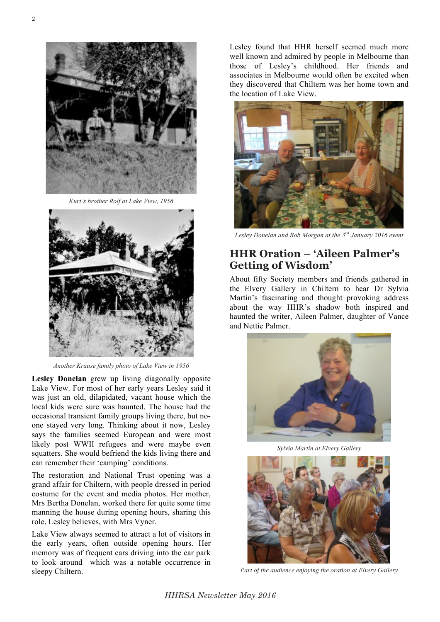2



*Kurt's brother Rolf at Lake View, 1956*



*Another Krause family photo of Lake View in 1956*

**Lesley Donelan** grew up living diagonally opposite Lake View. For most of her early years Lesley said it was just an old, dilapidated, vacant house which the local kids were sure was haunted. The house had the occasional transient family groups living there, but noone stayed very long. Thinking about it now, Lesley says the families seemed European and were most likely post WWII refugees and were maybe even squatters. She would befriend the kids living there and can remember their 'camping' conditions.

The restoration and National Trust opening was a grand affair for Chiltern, with people dressed in period costume for the event and media photos. Her mother, Mrs Bertha Donelan, worked there for quite some time manning the house during opening hours, sharing this role, Lesley believes, with Mrs Vyner.

Lake View always seemed to attract a lot of visitors in the early years, often outside opening hours. Her memory was of frequent cars driving into the car park to look around which was a notable occurrence in sleepy Chiltern.

Lesley found that HHR herself seemed much more well known and admired by people in Melbourne than those of Lesley's childhood. Her friends and associates in Melbourne would often be excited when they discovered that Chiltern was her home town and the location of Lake View.



*Lesley Donelan and Bob Morgan at the 3rd January 2016 event*

# **HHR Oration – 'Aileen Palmer's Getting of Wisdom'**

About fifty Society members and friends gathered in the Elvery Gallery in Chiltern to hear Dr Sylvia Martin's fascinating and thought provoking address about the way HHR's shadow both inspired and haunted the writer, Aileen Palmer, daughter of Vance and Nettie Palmer.



*Sylvia Martin at Elvery Gallery*



*Part of the audience enjoying the oration at Elvery Gallery*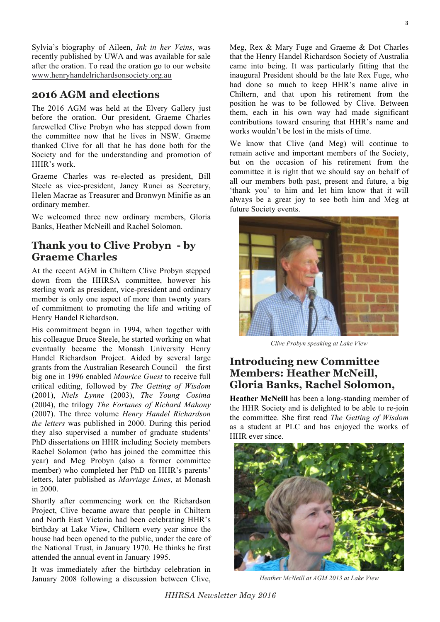Sylvia's biography of Aileen, *Ink in her Veins*, was recently published by UWA and was available for sale after the oration. To read the oration go to our website www.henryhandelrichardsonsociety.org.au

## **2016 AGM and elections**

The 2016 AGM was held at the Elvery Gallery just before the oration. Our president, Graeme Charles farewelled Clive Probyn who has stepped down from the committee now that he lives in NSW. Graeme thanked Clive for all that he has done both for the Society and for the understanding and promotion of HHR's work.

Graeme Charles was re-elected as president, Bill Steele as vice-president, Janey Runci as Secretary, Helen Macrae as Treasurer and Bronwyn Minifie as an ordinary member.

We welcomed three new ordinary members, Gloria Banks, Heather McNeill and Rachel Solomon.

## **Thank you to Clive Probyn - by Graeme Charles**

At the recent AGM in Chiltern Clive Probyn stepped down from the HHRSA committee, however his sterling work as president, vice-president and ordinary member is only one aspect of more than twenty years of commitment to promoting the life and writing of Henry Handel Richardson.

His commitment began in 1994, when together with his colleague Bruce Steele, he started working on what eventually became the Monash University Henry Handel Richardson Project. Aided by several large grants from the Australian Research Council – the first big one in 1996 enabled *Maurice Guest* to receive full critical editing, followed by *The Getting of Wisdom* (2001), *Niels Lynne* (2003), *The Young Cosima* (2004), the trilogy *The Fortunes of Richard Mahony* (2007). The three volume *Henry Handel Richardson the letters* was published in 2000. During this period they also supervised a number of graduate students' PhD dissertations on HHR including Society members Rachel Solomon (who has joined the committee this year) and Meg Probyn (also a former committee member) who completed her PhD on HHR's parents' letters, later published as *Marriage Lines*, at Monash in 2000.

Shortly after commencing work on the Richardson Project, Clive became aware that people in Chiltern and North East Victoria had been celebrating HHR's birthday at Lake View, Chiltern every year since the house had been opened to the public, under the care of the National Trust, in January 1970. He thinks he first attended the annual event in January 1995.

It was immediately after the birthday celebration in January 2008 following a discussion between Clive, Meg, Rex & Mary Fuge and Graeme & Dot Charles that the Henry Handel Richardson Society of Australia came into being. It was particularly fitting that the inaugural President should be the late Rex Fuge, who had done so much to keep HHR's name alive in Chiltern, and that upon his retirement from the position he was to be followed by Clive. Between them, each in his own way had made significant contributions toward ensuring that HHR's name and works wouldn't be lost in the mists of time.

We know that Clive (and Meg) will continue to remain active and important members of the Society, but on the occasion of his retirement from the committee it is right that we should say on behalf of all our members both past, present and future, a big 'thank you' to him and let him know that it will always be a great joy to see both him and Meg at future Society events.



*Clive Probyn speaking at Lake View*

## **Introducing new Committee Members: Heather McNeill, Gloria Banks, Rachel Solomon,**

**Heather McNeill** has been a long-standing member of the HHR Society and is delighted to be able to re-join the committee. She first read *The Getting of Wisdom* as a student at PLC and has enjoyed the works of HHR ever since.



*Heather McNeill at AGM 2013 at Lake View*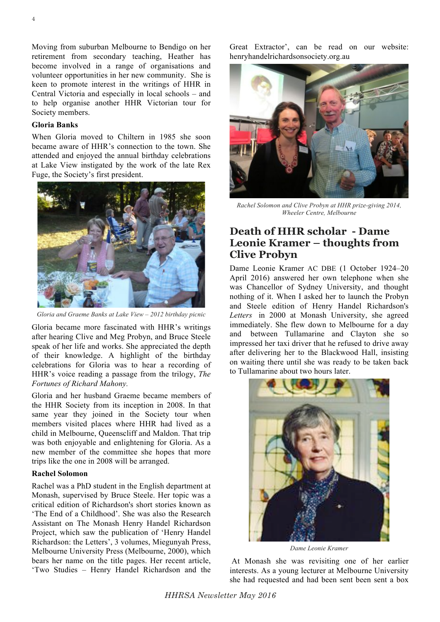Moving from suburban Melbourne to Bendigo on her retirement from secondary teaching, Heather has become involved in a range of organisations and volunteer opportunities in her new community. She is keen to promote interest in the writings of HHR in Central Victoria and especially in local schools – and to help organise another HHR Victorian tour for Society members.

#### **Gloria Banks**

When Gloria moved to Chiltern in 1985 she soon became aware of HHR's connection to the town. She attended and enjoyed the annual birthday celebrations at Lake View instigated by the work of the late Rex Fuge, the Society's first president.



*Gloria and Graeme Banks at Lake View – 2012 birthday picnic*

Gloria became more fascinated with HHR's writings after hearing Clive and Meg Probyn, and Bruce Steele speak of her life and works. She appreciated the depth of their knowledge. A highlight of the birthday celebrations for Gloria was to hear a recording of HHR's voice reading a passage from the trilogy, *The Fortunes of Richard Mahony.*

Gloria and her husband Graeme became members of the HHR Society from its inception in 2008. In that same year they joined in the Society tour when members visited places where HHR had lived as a child in Melbourne, Queenscliff and Maldon. That trip was both enjoyable and enlightening for Gloria. As a new member of the committee she hopes that more trips like the one in 2008 will be arranged.

#### **Rachel Solomon**

Rachel was a PhD student in the English department at Monash, supervised by Bruce Steele. Her topic was a critical edition of Richardson's short stories known as 'The End of a Childhood'. She was also the Research Assistant on The Monash Henry Handel Richardson Project, which saw the publication of 'Henry Handel Richardson: the Letters', 3 volumes, Miegunyah Press, Melbourne University Press (Melbourne, 2000), which bears her name on the title pages. Her recent article, 'Two Studies – Henry Handel Richardson and the

Great Extractor', can be read on our website: henryhandelrichardsonsociety.org.au



*Rachel Solomon and Clive Probyn at HHR prize-giving 2014, Wheeler Centre, Melbourne*

## **Death of HHR scholar - Dame Leonie Kramer – thoughts from Clive Probyn**

Dame Leonie Kramer AC DBE (1 October 1924–20 April 2016) answered her own telephone when she was Chancellor of Sydney University, and thought nothing of it. When I asked her to launch the Probyn and Steele edition of Henry Handel Richardson's *Letters* in 2000 at Monash University, she agreed immediately. She flew down to Melbourne for a day and between Tullamarine and Clayton she so impressed her taxi driver that he refused to drive away after delivering her to the Blackwood Hall, insisting on waiting there until she was ready to be taken back to Tullamarine about two hours later.



*Dame Leonie Kramer*

At Monash she was revisiting one of her earlier interests. As a young lecturer at Melbourne University she had requested and had been sent been sent a box